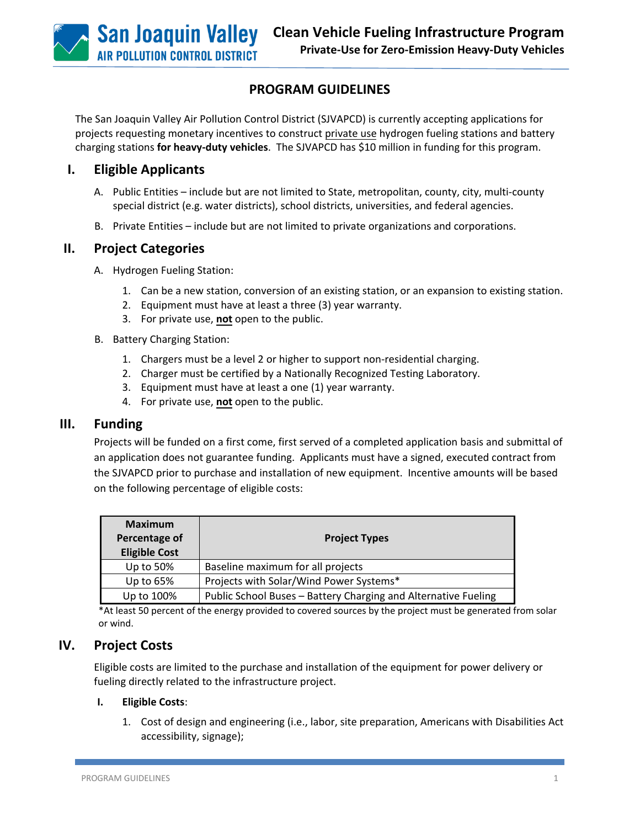# **PROGRAM GUIDELINES**

The San Joaquin Valley Air Pollution Control District (SJVAPCD) is currently accepting applications for projects requesting monetary incentives to construct private use hydrogen fueling stations and battery charging stations **for heavy-duty vehicles**. The SJVAPCD has \$10 million in funding for this program.

## **I. Eligible Applicants**

- A. Public Entities include but are not limited to State, metropolitan, county, city, multi-county special district (e.g. water districts), school districts, universities, and federal agencies.
- B. Private Entities include but are not limited to private organizations and corporations.

### **II. Project Categories**

- A. Hydrogen Fueling Station:
	- 1. Can be a new station, conversion of an existing station, or an expansion to existing station.
	- 2. Equipment must have at least a three (3) year warranty.
	- 3. For private use, **not** open to the public.
- B. Battery Charging Station:
	- 1. Chargers must be a level 2 or higher to support non-residential charging.
	- 2. Charger must be certified by a Nationally Recognized Testing Laboratory.
	- 3. Equipment must have at least a one (1) year warranty.
	- 4. For private use, **not** open to the public.

#### **III. Funding**

Projects will be funded on a first come, first served of a completed application basis and submittal of an application does not guarantee funding. Applicants must have a signed, executed contract from the SJVAPCD prior to purchase and installation of new equipment. Incentive amounts will be based on the following percentage of eligible costs:

| <b>Maximum</b><br>Percentage of<br><b>Eligible Cost</b> | <b>Project Types</b>                                           |
|---------------------------------------------------------|----------------------------------------------------------------|
| Up to 50%                                               | Baseline maximum for all projects                              |
| Up to $65%$                                             | Projects with Solar/Wind Power Systems*                        |
| Up to 100%                                              | Public School Buses - Battery Charging and Alternative Fueling |

\*At least 50 percent of the energy provided to covered sources by the project must be generated from solar or wind.

## **IV. Project Costs**

Eligible costs are limited to the purchase and installation of the equipment for power delivery or fueling directly related to the infrastructure project.

#### **I. Eligible Costs**:

1. Cost of design and engineering (i.e., labor, site preparation, Americans with Disabilities Act accessibility, signage);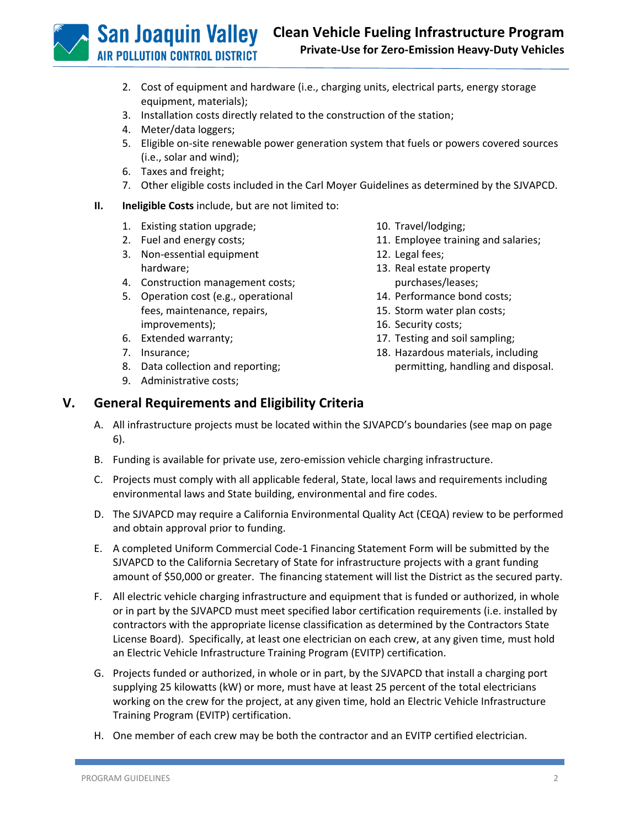**San Joaquin Valley IR POLLUTION CONTROL DISTRICT** 

**Clean Vehicle Fueling Infrastructure Program Private-Use for Zero-Emission Heavy-Duty Vehicles**

- 2. Cost of equipment and hardware (i.e., charging units, electrical parts, energy storage equipment, materials);
- 3. Installation costs directly related to the construction of the station;
- 4. Meter/data loggers;
- 5. Eligible on-site renewable power generation system that fuels or powers covered sources (i.e., solar and wind);
- 6. Taxes and freight;
- 7. Other eligible costs included in the Carl Moyer Guidelines as determined by the SJVAPCD.
- **II. Ineligible Costs** include, but are not limited to:
	- 1. Existing station upgrade;
	- 2. Fuel and energy costs;
	- 3. Non-essential equipment hardware;
	- 4. Construction management costs;
	- 5. Operation cost (e.g., operational fees, maintenance, repairs, improvements);
	- 6. Extended warranty;
	- 7. Insurance;
	- 8. Data collection and reporting;
	- 9. Administrative costs;
- 10. Travel/lodging;
- 11. Employee training and salaries;
- 12. Legal fees;
- 13. Real estate property purchases/leases;
- 14. Performance bond costs;
- 15. Storm water plan costs;
- 16. Security costs;
- 17. Testing and soil sampling;
- 18. Hazardous materials, including permitting, handling and disposal.

# **V. General Requirements and Eligibility Criteria**

- A. All infrastructure projects must be located within the SJVAPCD's boundaries (see map on page 6).
- B. Funding is available for private use, zero-emission vehicle charging infrastructure.
- C. Projects must comply with all applicable federal, State, local laws and requirements including environmental laws and State building, environmental and fire codes.
- D. The SJVAPCD may require a California Environmental Quality Act (CEQA) review to be performed and obtain approval prior to funding.
- E. A completed Uniform Commercial Code-1 Financing Statement Form will be submitted by the SJVAPCD to the California Secretary of State for infrastructure projects with a grant funding amount of \$50,000 or greater. The financing statement will list the District as the secured party.
- F. All electric vehicle charging infrastructure and equipment that is funded or authorized, in whole or in part by the SJVAPCD must meet specified labor certification requirements (i.e. installed by contractors with the appropriate license classification as determined by the Contractors State License Board). Specifically, at least one electrician on each crew, at any given time, must hold an Electric Vehicle Infrastructure Training Program (EVITP) certification.
- G. Projects funded or authorized, in whole or in part, by the SJVAPCD that install a charging port supplying 25 kilowatts (kW) or more, must have at least 25 percent of the total electricians working on the crew for the project, at any given time, hold an Electric Vehicle Infrastructure Training Program (EVITP) certification.
- H. One member of each crew may be both the contractor and an EVITP certified electrician.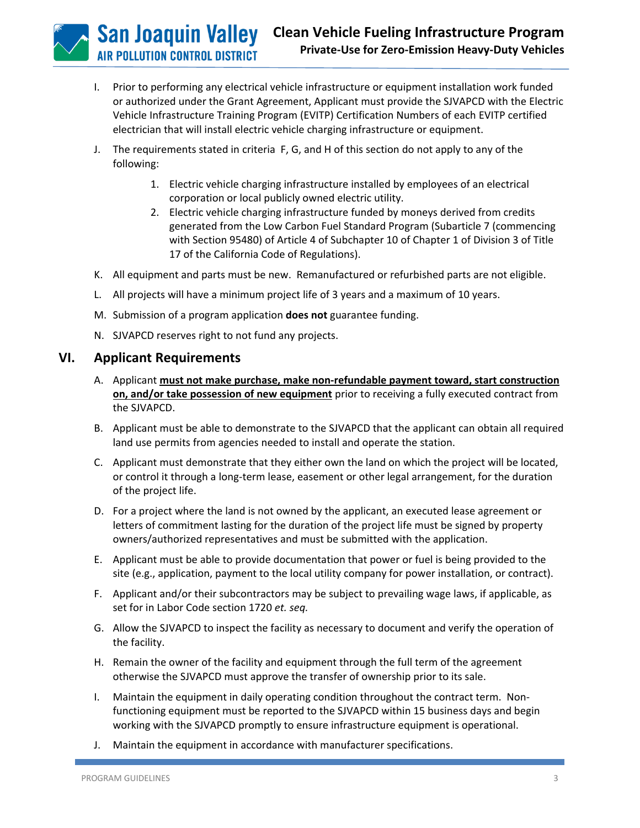**San Joaquin Valley IR POLLUTION CONTROL DISTRICT** 

- I. Prior to performing any electrical vehicle infrastructure or equipment installation work funded or authorized under the Grant Agreement, Applicant must provide the SJVAPCD with the Electric Vehicle Infrastructure Training Program (EVITP) Certification Numbers of each EVITP certified electrician that will install electric vehicle charging infrastructure or equipment.
- J. The requirements stated in criteria F, G, and H of this section do not apply to any of the following:
	- 1. Electric vehicle charging infrastructure installed by employees of an electrical corporation or local publicly owned electric utility.
	- 2. Electric vehicle charging infrastructure funded by moneys derived from credits generated from the Low Carbon Fuel Standard Program (Subarticle 7 (commencing with Section 95480) of Article 4 of Subchapter 10 of Chapter 1 of Division 3 of Title 17 of the California Code of Regulations).
- K. All equipment and parts must be new. Remanufactured or refurbished parts are not eligible.
- L. All projects will have a minimum project life of 3 years and a maximum of 10 years.
- M. Submission of a program application **does not** guarantee funding.
- N. SJVAPCD reserves right to not fund any projects.

## **VI. Applicant Requirements**

- A. Applicant **must not make purchase, make non-refundable payment toward, start construction on, and/or take possession of new equipment** prior to receiving a fully executed contract from the SJVAPCD.
- B. Applicant must be able to demonstrate to the SJVAPCD that the applicant can obtain all required land use permits from agencies needed to install and operate the station.
- C. Applicant must demonstrate that they either own the land on which the project will be located, or control it through a long-term lease, easement or other legal arrangement, for the duration of the project life.
- D. For a project where the land is not owned by the applicant, an executed lease agreement or letters of commitment lasting for the duration of the project life must be signed by property owners/authorized representatives and must be submitted with the application.
- E. Applicant must be able to provide documentation that power or fuel is being provided to the site (e.g., application, payment to the local utility company for power installation, or contract).
- F. Applicant and/or their subcontractors may be subject to prevailing wage laws, if applicable, as set for in Labor Code section 1720 *et. seq.*
- G. Allow the SJVAPCD to inspect the facility as necessary to document and verify the operation of the facility.
- H. Remain the owner of the facility and equipment through the full term of the agreement otherwise the SJVAPCD must approve the transfer of ownership prior to its sale.
- I. Maintain the equipment in daily operating condition throughout the contract term. Nonfunctioning equipment must be reported to the SJVAPCD within 15 business days and begin working with the SJVAPCD promptly to ensure infrastructure equipment is operational.
- J. Maintain the equipment in accordance with manufacturer specifications.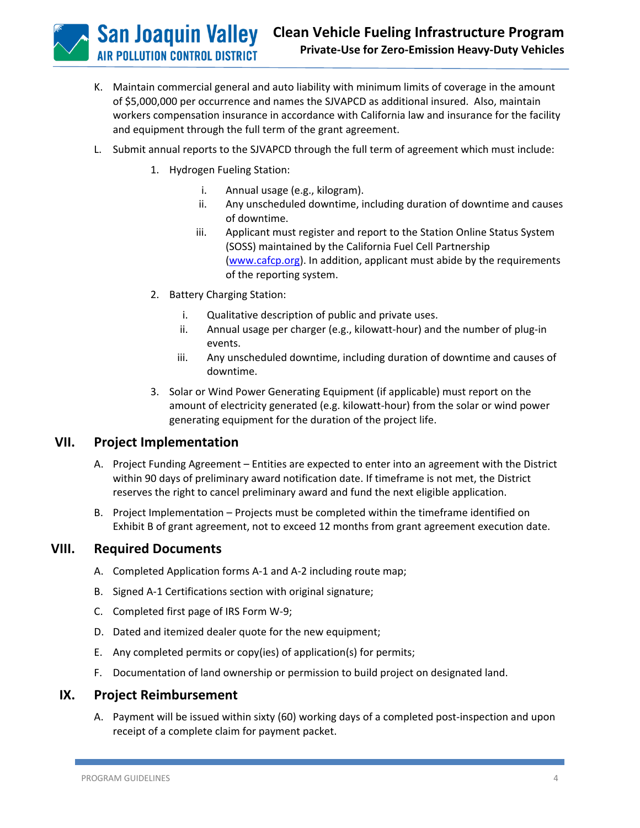**San Joaquin Valley IR POLLUTION CONTROL DISTRICT** 

- K. Maintain commercial general and auto liability with minimum limits of coverage in the amount of \$5,000,000 per occurrence and names the SJVAPCD as additional insured. Also, maintain workers compensation insurance in accordance with California law and insurance for the facility and equipment through the full term of the grant agreement.
- L. Submit annual reports to the SJVAPCD through the full term of agreement which must include:
	- 1. Hydrogen Fueling Station:
		- i. Annual usage (e.g., kilogram).
		- ii. Any unscheduled downtime, including duration of downtime and causes of downtime.
		- iii. Applicant must register and report to the Station Online Status System (SOSS) maintained by the California Fuel Cell Partnership [\(www.cafcp.org\)](http://www.cafcp.org/). In addition, applicant must abide by the requirements of the reporting system.
	- 2. Battery Charging Station:
		- i. Qualitative description of public and private uses.
		- ii. Annual usage per charger (e.g., kilowatt-hour) and the number of plug-in events.
		- iii. Any unscheduled downtime, including duration of downtime and causes of downtime.
	- 3. Solar or Wind Power Generating Equipment (if applicable) must report on the amount of electricity generated (e.g. kilowatt-hour) from the solar or wind power generating equipment for the duration of the project life.

## **VII. Project Implementation**

- A. Project Funding Agreement Entities are expected to enter into an agreement with the District within 90 days of preliminary award notification date. If timeframe is not met, the District reserves the right to cancel preliminary award and fund the next eligible application.
- B. Project Implementation Projects must be completed within the timeframe identified on Exhibit B of grant agreement, not to exceed 12 months from grant agreement execution date.

## **VIII. Required Documents**

- A. Completed Application forms A-1 and A-2 including route map;
- B. Signed A-1 Certifications section with original signature;
- C. Completed first page of IRS Form W-9;
- D. Dated and itemized dealer quote for the new equipment;
- E. Any completed permits or copy(ies) of application(s) for permits;
- F. Documentation of land ownership or permission to build project on designated land.

## **IX. Project Reimbursement**

A. Payment will be issued within sixty (60) working days of a completed post-inspection and upon receipt of a complete claim for payment packet.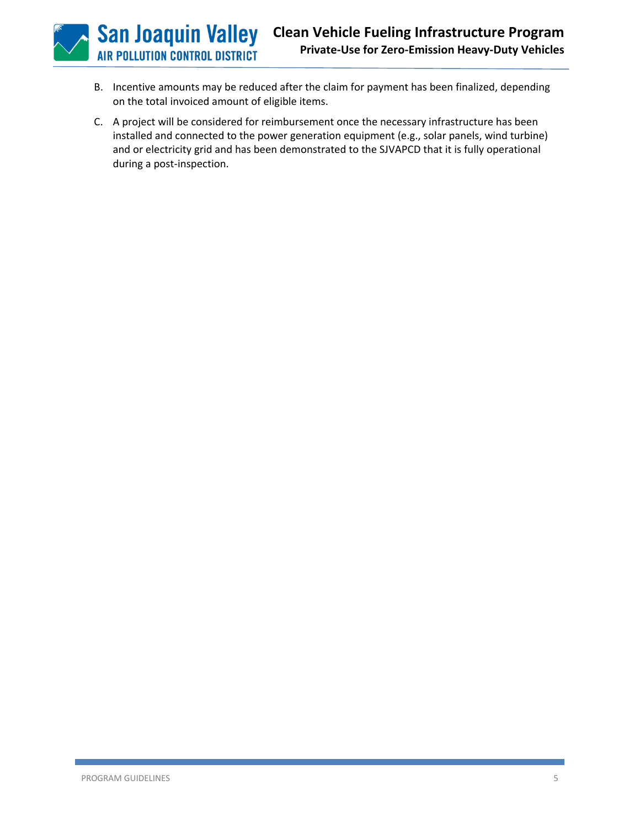B. Incentive amounts may be reduced after the claim for payment has been finalized, depending on the total invoiced amount of eligible items.

**San Joaquin Valley AIR POLLUTION CONTROL DISTRICT** 

C. A project will be considered for reimbursement once the necessary infrastructure has been installed and connected to the power generation equipment (e.g., solar panels, wind turbine) and or electricity grid and has been demonstrated to the SJVAPCD that it is fully operational during a post-inspection.